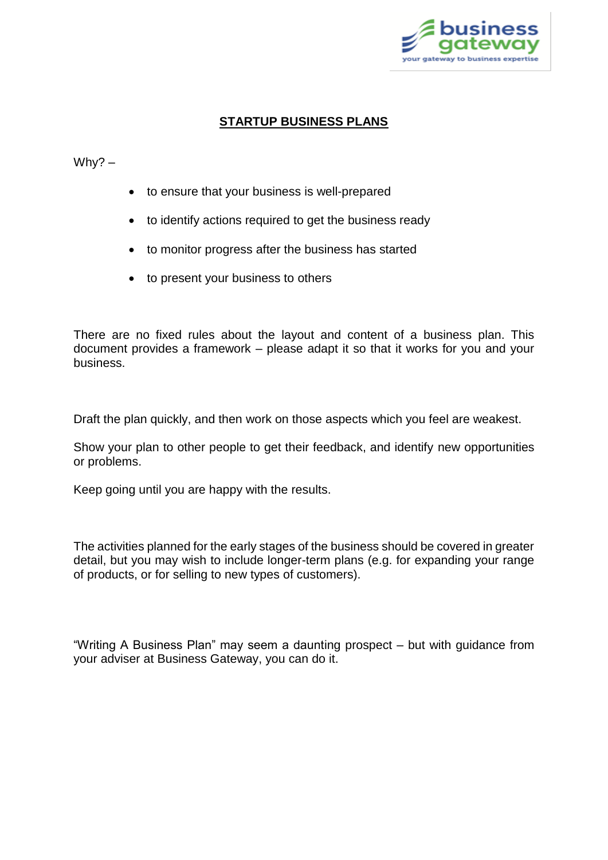

## **STARTUP BUSINESS PLANS**

## Why? –

- to ensure that your business is well-prepared
- to identify actions required to get the business ready
- to monitor progress after the business has started
- to present your business to others

There are no fixed rules about the layout and content of a business plan. This document provides a framework – please adapt it so that it works for you and your business.

Draft the plan quickly, and then work on those aspects which you feel are weakest.

Show your plan to other people to get their feedback, and identify new opportunities or problems.

Keep going until you are happy with the results.

The activities planned for the early stages of the business should be covered in greater detail, but you may wish to include longer-term plans (e.g. for expanding your range of products, or for selling to new types of customers).

"Writing A Business Plan" may seem a daunting prospect – but with guidance from your adviser at Business Gateway, you can do it.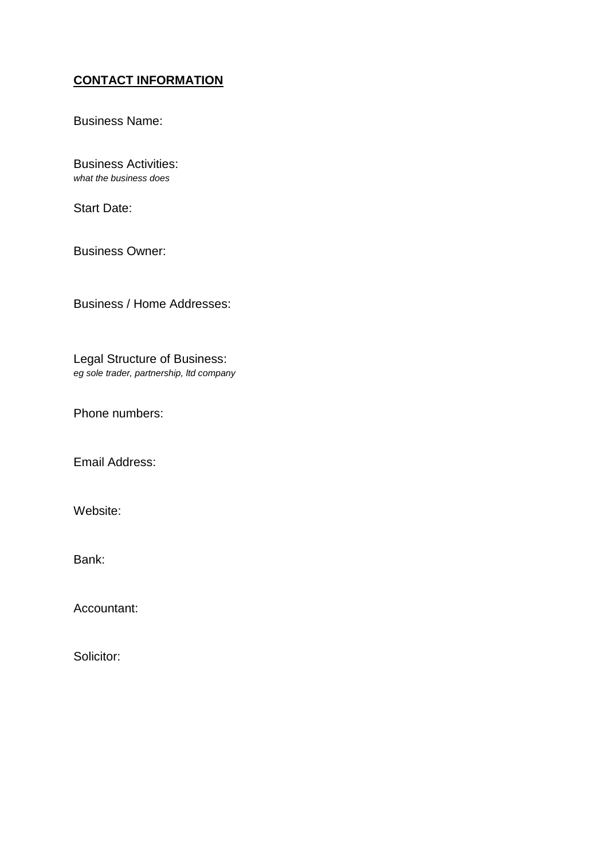# **CONTACT INFORMATION**

Business Name:

Business Activities: *what the business does*

Start Date:

Business Owner:

Business / Home Addresses:

Legal Structure of Business: *eg sole trader, partnership, ltd company*

Phone numbers:

Email Address:

Website:

Bank:

Accountant:

Solicitor: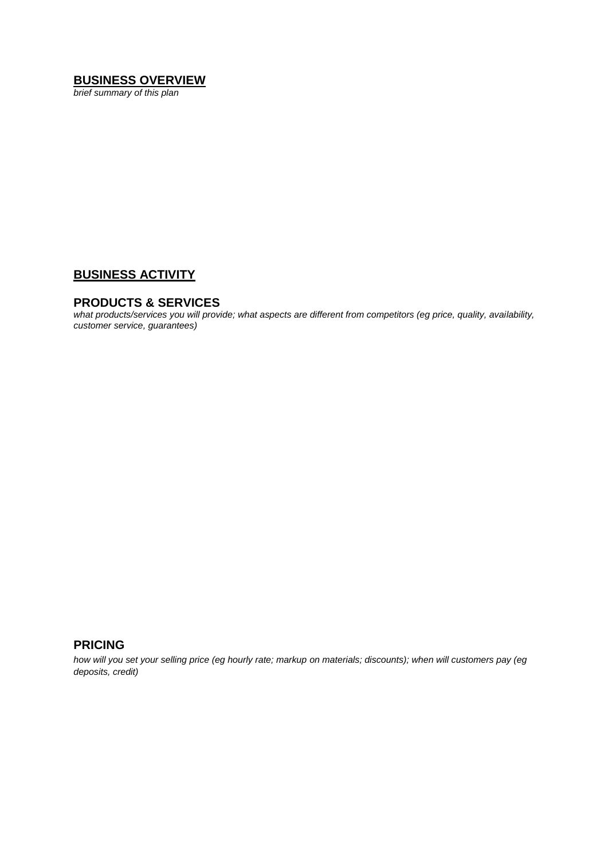## **BUSINESS OVERVIEW**

*brief summary of this plan*

## **BUSINESS ACTIVITY**

#### **PRODUCTS & SERVICES**

*what products/services you will provide; what aspects are different from competitors (eg price, quality, availability, customer service, guarantees)*

## **PRICING**

*how will you set your selling price (eg hourly rate; markup on materials; discounts); when will customers pay (eg deposits, credit)*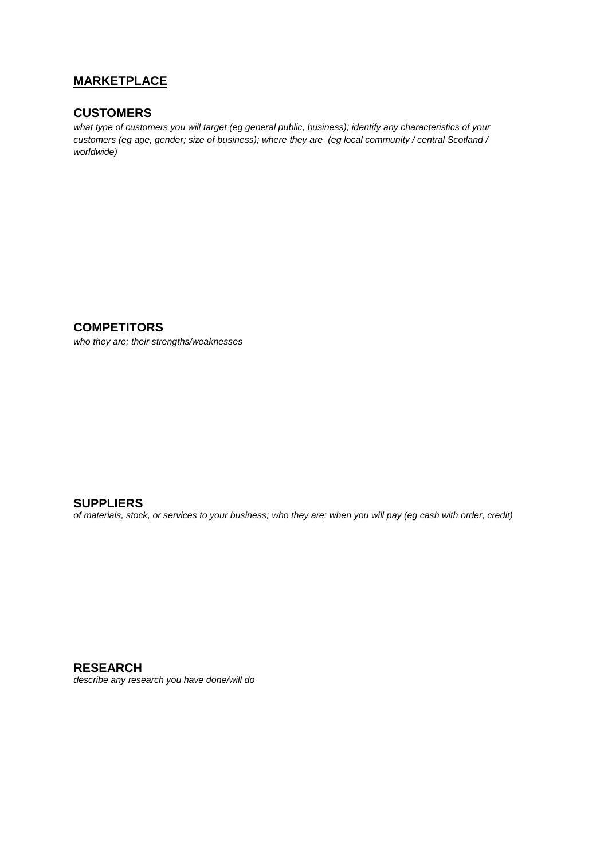## **MARKETPLACE**

### **CUSTOMERS**

*what type of customers you will target (eg general public, business); identify any characteristics of your customers (eg age, gender; size of business); where they are (eg local community / central Scotland / worldwide)*

**COMPETITORS**

*who they are; their strengths/weaknesses*

**SUPPLIERS**

*of materials, stock, or services to your business; who they are; when you will pay (eg cash with order, credit)*

**RESEARCH** *describe any research you have done/will do*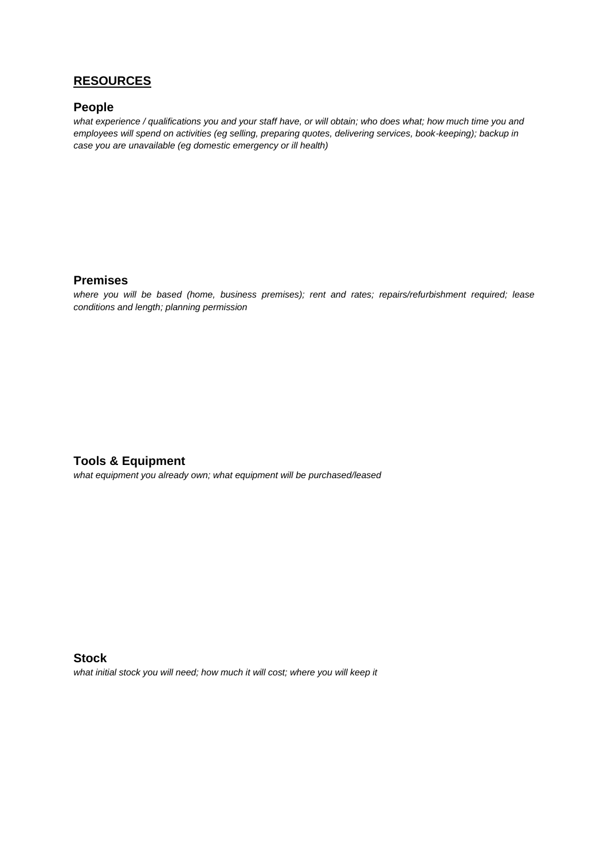## **RESOURCES**

#### **People**

*what experience / qualifications you and your staff have, or will obtain; who does what; how much time you and employees will spend on activities (eg selling, preparing quotes, delivering services, book-keeping); backup in case you are unavailable (eg domestic emergency or ill health)*

#### **Premises**

*where you will be based (home, business premises); rent and rates; repairs/refurbishment required; lease conditions and length; planning permission* 

### **Tools & Equipment**

*what equipment you already own; what equipment will be purchased/leased*

**Stock** *what initial stock you will need; how much it will cost; where you will keep it*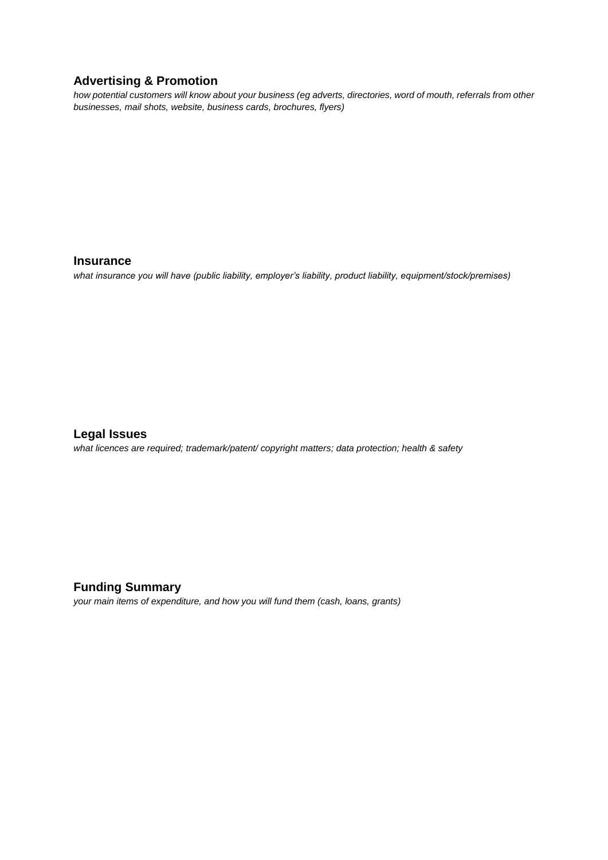### **Advertising & Promotion**

*how potential customers will know about your business (eg adverts, directories, word of mouth, referrals from other businesses, mail shots, website, business cards, brochures, flyers)*

#### **Insurance**

*what insurance you will have (public liability, employer's liability, product liability, equipment/stock/premises)* 

## **Legal Issues**

*what licences are required; trademark/patent/ copyright matters; data protection; health & safety*

### **Funding Summary**

*your main items of expenditure, and how you will fund them (cash, loans, grants)*